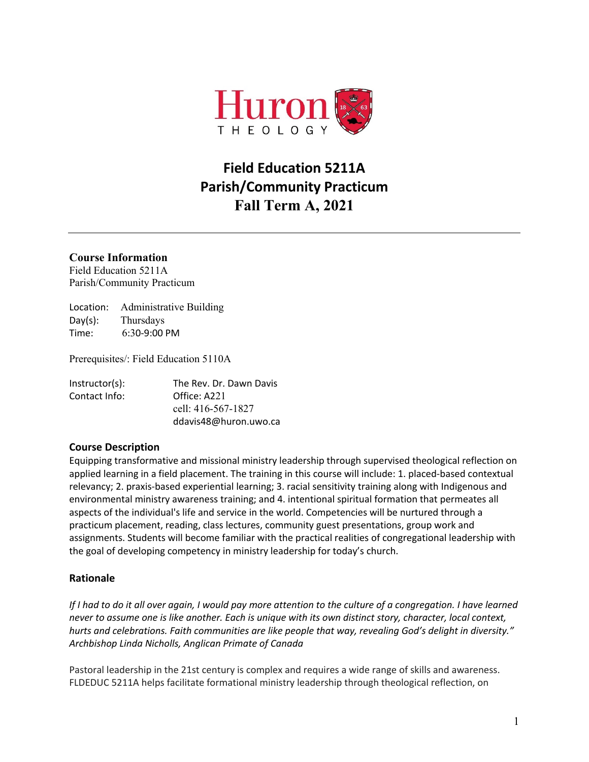

# **Field Education 5211A Parish/Community Practicum Fall Term A, 2021**

# **Course Information**

Field Education 5211A Parish/Community Practicum

Location: Administrative Building Day(s): Thursdays Time: 6:30-9:00 PM

Prerequisites/: Field Education 5110A

| Instructor(s): | The Rev. Dr. Dawn Davis |
|----------------|-------------------------|
| Contact Info:  | Office: A221            |
|                | cell: 416-567-1827      |
|                | ddavis48@huron.uwo.ca   |

### **Course Description**

Equipping transformative and missional ministry leadership through supervised theological reflection on applied learning in a field placement. The training in this course will include: 1. placed-based contextual relevancy; 2. praxis-based experiential learning; 3. racial sensitivity training along with Indigenous and environmental ministry awareness training; and 4. intentional spiritual formation that permeates all aspects of the individual's life and service in the world. Competencies will be nurtured through a practicum placement, reading, class lectures, community guest presentations, group work and assignments. Students will become familiar with the practical realities of congregational leadership with the goal of developing competency in ministry leadership for today's church.

### **Rationale**

*If I had to do it all over again, I would pay more attention to the culture of a congregation. I have learned never to assume one is like another. Each is unique with its own distinct story, character, local context, hurts and celebrations. Faith communities are like people that way, revealing God's delight in diversity." Archbishop Linda Nicholls, Anglican Primate of Canada* 

Pastoral leadership in the 21st century is complex and requires a wide range of skills and awareness. FLDEDUC 5211A helps facilitate formational ministry leadership through theological reflection, on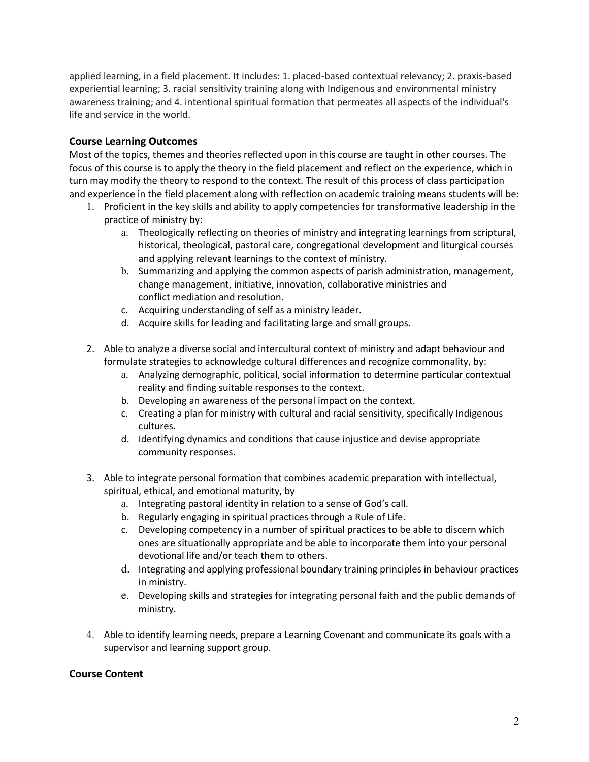applied learning, in a field placement. It includes: 1. placed-based contextual relevancy; 2. praxis-based experiential learning; 3. racial sensitivity training along with Indigenous and environmental ministry awareness training; and 4. intentional spiritual formation that permeates all aspects of the individual's life and service in the world.

# **Course Learning Outcomes**

Most of the topics, themes and theories reflected upon in this course are taught in other courses. The focus of this course is to apply the theory in the field placement and reflect on the experience, which in turn may modify the theory to respond to the context. The result of this process of class participation and experience in the field placement along with reflection on academic training means students will be:

- 1. Proficient in the key skills and ability to apply competencies for transformative leadership in the practice of ministry by:
	- a. Theologically reflecting on theories of ministry and integrating learnings from scriptural, historical, theological, pastoral care, congregational development and liturgical courses and applying relevant learnings to the context of ministry.
	- b. Summarizing and applying the common aspects of parish administration, management, change management, initiative, innovation, collaborative ministries and conflict mediation and resolution.
	- c. Acquiring understanding of self as a ministry leader.
	- d. Acquire skills for leading and facilitating large and small groups.
- 2. Able to analyze a diverse social and intercultural context of ministry and adapt behaviour and formulate strategies to acknowledge cultural differences and recognize commonality, by:
	- a. Analyzing demographic, political, social information to determine particular contextual reality and finding suitable responses to the context.
	- b. Developing an awareness of the personal impact on the context.
	- c. Creating a plan for ministry with cultural and racial sensitivity, specifically Indigenous cultures.
	- d. Identifying dynamics and conditions that cause injustice and devise appropriate community responses.
- 3. Able to integrate personal formation that combines academic preparation with intellectual, spiritual, ethical, and emotional maturity, by
	- a. Integrating pastoral identity in relation to a sense of God's call.
	- b. Regularly engaging in spiritual practices through a Rule of Life.
	- c. Developing competency in a number of spiritual practices to be able to discern which ones are situationally appropriate and be able to incorporate them into your personal devotional life and/or teach them to others.
	- d. Integrating and applying professional boundary training principles in behaviour practices in ministry.
	- e. Developing skills and strategies for integrating personal faith and the public demands of ministry.
- 4. Able to identify learning needs, prepare a Learning Covenant and communicate its goals with a supervisor and learning support group.

### **Course Content**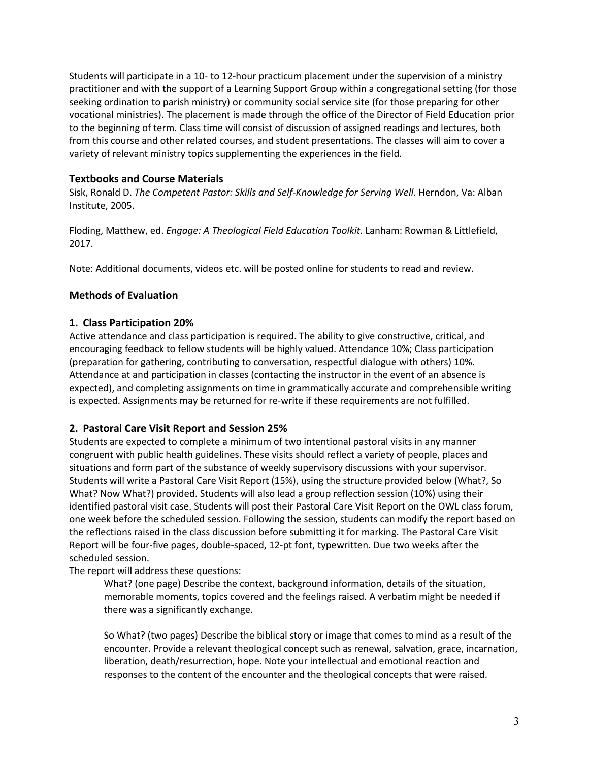Students will participate in a 10- to 12-hour practicum placement under the supervision of a ministry practitioner and with the support of a Learning Support Group within a congregational setting (for those seeking ordination to parish ministry) or community social service site (for those preparing for other vocational ministries). The placement is made through the office of the Director of Field Education prior to the beginning of term. Class time will consist of discussion of assigned readings and lectures, both from this course and other related courses, and student presentations. The classes will aim to cover a variety of relevant ministry topics supplementing the experiences in the field.

### **Textbooks and Course Materials**

Sisk, Ronald D. *The Competent Pastor: Skills and Self-Knowledge for Serving Well*. Herndon, Va: Alban Institute, 2005.

Floding, Matthew, ed. *Engage: A Theological Field Education Toolkit*. Lanham: Rowman & Littlefield, 2017.

Note: Additional documents, videos etc. will be posted online for students to read and review.

### **Methods of Evaluation**

### **1. Class Participation 20%**

Active attendance and class participation is required. The ability to give constructive, critical, and encouraging feedback to fellow students will be highly valued. Attendance 10%; Class participation (preparation for gathering, contributing to conversation, respectful dialogue with others) 10%. Attendance at and participation in classes (contacting the instructor in the event of an absence is expected), and completing assignments on time in grammatically accurate and comprehensible writing is expected. Assignments may be returned for re-write if these requirements are not fulfilled.

### **2. Pastoral Care Visit Report and Session 25%**

Students are expected to complete a minimum of two intentional pastoral visits in any manner congruent with public health guidelines. These visits should reflect a variety of people, places and situations and form part of the substance of weekly supervisory discussions with your supervisor. Students will write a Pastoral Care Visit Report (15%), using the structure provided below (What?, So What? Now What?) provided. Students will also lead a group reflection session (10%) using their identified pastoral visit case. Students will post their Pastoral Care Visit Report on the OWL class forum, one week before the scheduled session. Following the session, students can modify the report based on the reflections raised in the class discussion before submitting it for marking. The Pastoral Care Visit Report will be four-five pages, double-spaced, 12-pt font, typewritten. Due two weeks after the scheduled session.

The report will address these questions:

What? (one page) Describe the context, background information, details of the situation, memorable moments, topics covered and the feelings raised. A verbatim might be needed if there was a significantly exchange.

So What? (two pages) Describe the biblical story or image that comes to mind as a result of the encounter. Provide a relevant theological concept such as renewal, salvation, grace, incarnation, liberation, death/resurrection, hope. Note your intellectual and emotional reaction and responses to the content of the encounter and the theological concepts that were raised.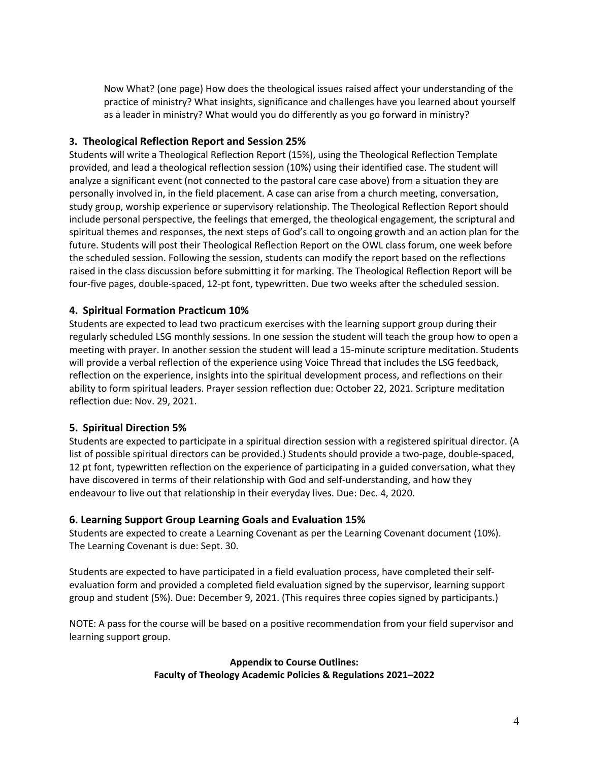Now What? (one page) How does the theological issues raised affect your understanding of the practice of ministry? What insights, significance and challenges have you learned about yourself as a leader in ministry? What would you do differently as you go forward in ministry?

## **3. Theological Reflection Report and Session 25%**

Students will write a Theological Reflection Report (15%), using the Theological Reflection Template provided, and lead a theological reflection session (10%) using their identified case. The student will analyze a significant event (not connected to the pastoral care case above) from a situation they are personally involved in, in the field placement. A case can arise from a church meeting, conversation, study group, worship experience or supervisory relationship. The Theological Reflection Report should include personal perspective, the feelings that emerged, the theological engagement, the scriptural and spiritual themes and responses, the next steps of God's call to ongoing growth and an action plan for the future. Students will post their Theological Reflection Report on the OWL class forum, one week before the scheduled session. Following the session, students can modify the report based on the reflections raised in the class discussion before submitting it for marking. The Theological Reflection Report will be four-five pages, double-spaced, 12-pt font, typewritten. Due two weeks after the scheduled session.

# **4. Spiritual Formation Practicum 10%**

Students are expected to lead two practicum exercises with the learning support group during their regularly scheduled LSG monthly sessions. In one session the student will teach the group how to open a meeting with prayer. In another session the student will lead a 15-minute scripture meditation. Students will provide a verbal reflection of the experience using Voice Thread that includes the LSG feedback, reflection on the experience, insights into the spiritual development process, and reflections on their ability to form spiritual leaders. Prayer session reflection due: October 22, 2021. Scripture meditation reflection due: Nov. 29, 2021.

# **5. Spiritual Direction 5%**

Students are expected to participate in a spiritual direction session with a registered spiritual director. (A list of possible spiritual directors can be provided.) Students should provide a two-page, double-spaced, 12 pt font, typewritten reflection on the experience of participating in a guided conversation, what they have discovered in terms of their relationship with God and self-understanding, and how they endeavour to live out that relationship in their everyday lives. Due: Dec. 4, 2020.

### **6. Learning Support Group Learning Goals and Evaluation 15%**

Students are expected to create a Learning Covenant as per the Learning Covenant document (10%). The Learning Covenant is due: Sept. 30.

Students are expected to have participated in a field evaluation process, have completed their selfevaluation form and provided a completed field evaluation signed by the supervisor, learning support group and student (5%). Due: December 9, 2021. (This requires three copies signed by participants.)

NOTE: A pass for the course will be based on a positive recommendation from your field supervisor and learning support group.

> **Appendix to Course Outlines: Faculty of Theology Academic Policies & Regulations 2021–2022**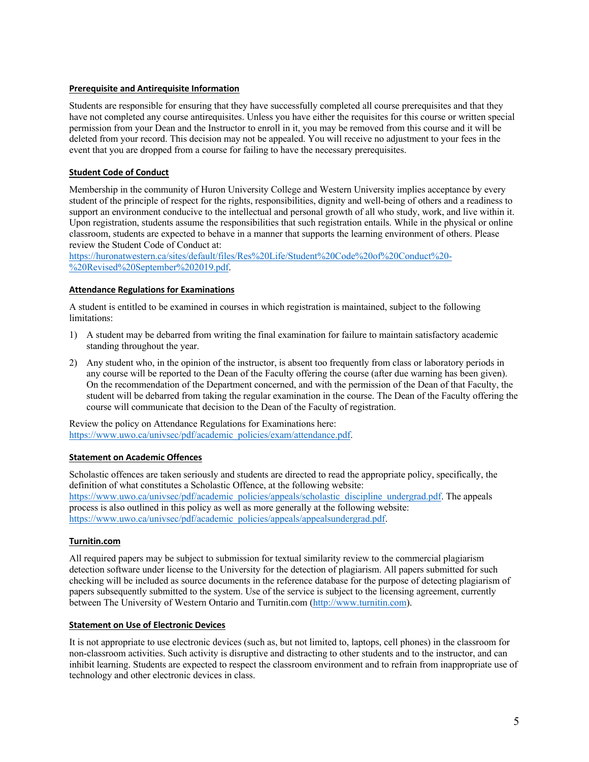#### **Prerequisite and Antirequisite Information**

Students are responsible for ensuring that they have successfully completed all course prerequisites and that they have not completed any course antirequisites. Unless you have either the requisites for this course or written special permission from your Dean and the Instructor to enroll in it, you may be removed from this course and it will be deleted from your record. This decision may not be appealed. You will receive no adjustment to your fees in the event that you are dropped from a course for failing to have the necessary prerequisites.

#### **Student Code of Conduct**

Membership in the community of Huron University College and Western University implies acceptance by every student of the principle of respect for the rights, responsibilities, dignity and well-being of others and a readiness to support an environment conducive to the intellectual and personal growth of all who study, work, and live within it. Upon registration, students assume the responsibilities that such registration entails. While in the physical or online classroom, students are expected to behave in a manner that supports the learning environment of others. Please review the Student Code of Conduct at:

https://huronatwestern.ca/sites/default/files/Res%20Life/Student%20Code%20of%20Conduct%20- %20Revised%20September%202019.pdf.

#### **Attendance Regulations for Examinations**

A student is entitled to be examined in courses in which registration is maintained, subject to the following limitations:

- 1) A student may be debarred from writing the final examination for failure to maintain satisfactory academic standing throughout the year.
- 2) Any student who, in the opinion of the instructor, is absent too frequently from class or laboratory periods in any course will be reported to the Dean of the Faculty offering the course (after due warning has been given). On the recommendation of the Department concerned, and with the permission of the Dean of that Faculty, the student will be debarred from taking the regular examination in the course. The Dean of the Faculty offering the course will communicate that decision to the Dean of the Faculty of registration.

Review the policy on Attendance Regulations for Examinations here: https://www.uwo.ca/univsec/pdf/academic\_policies/exam/attendance.pdf.

#### **Statement on Academic Offences**

Scholastic offences are taken seriously and students are directed to read the appropriate policy, specifically, the definition of what constitutes a Scholastic Offence, at the following website: https://www.uwo.ca/univsec/pdf/academic\_policies/appeals/scholastic\_discipline\_undergrad.pdf. The appeals process is also outlined in this policy as well as more generally at the following website: https://www.uwo.ca/univsec/pdf/academic\_policies/appeals/appealsundergrad.pdf.

#### **Turnitin.com**

All required papers may be subject to submission for textual similarity review to the commercial plagiarism detection software under license to the University for the detection of plagiarism. All papers submitted for such checking will be included as source documents in the reference database for the purpose of detecting plagiarism of papers subsequently submitted to the system. Use of the service is subject to the licensing agreement, currently between The University of Western Ontario and Turnitin.com (http://www.turnitin.com).

#### **Statement on Use of Electronic Devices**

It is not appropriate to use electronic devices (such as, but not limited to, laptops, cell phones) in the classroom for non-classroom activities. Such activity is disruptive and distracting to other students and to the instructor, and can inhibit learning. Students are expected to respect the classroom environment and to refrain from inappropriate use of technology and other electronic devices in class.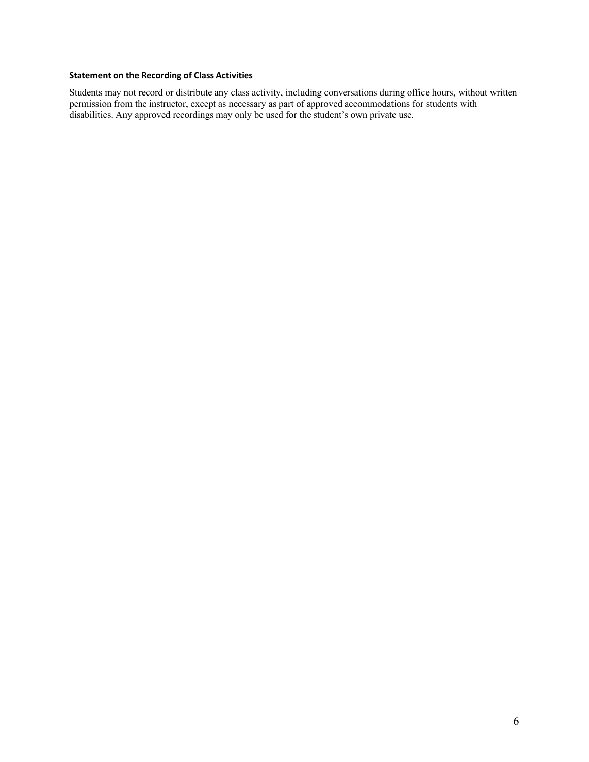### **Statement on the Recording of Class Activities**

Students may not record or distribute any class activity, including conversations during office hours, without written permission from the instructor, except as necessary as part of approved accommodations for students with disabilities. Any approved recordings may only be used for the student's own private use.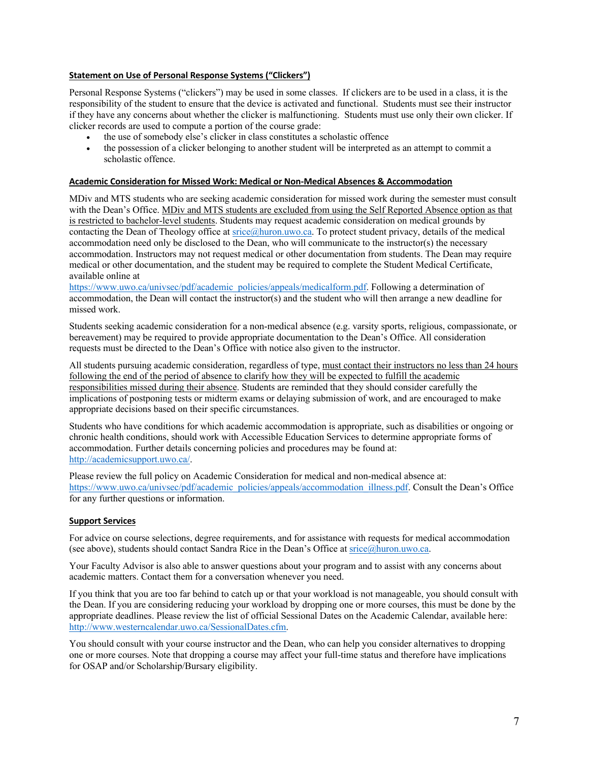#### **Statement on Use of Personal Response Systems ("Clickers")**

Personal Response Systems ("clickers") may be used in some classes. If clickers are to be used in a class, it is the responsibility of the student to ensure that the device is activated and functional. Students must see their instructor if they have any concerns about whether the clicker is malfunctioning. Students must use only their own clicker. If clicker records are used to compute a portion of the course grade:

- the use of somebody else's clicker in class constitutes a scholastic offence
- the possession of a clicker belonging to another student will be interpreted as an attempt to commit a scholastic offence.

#### **Academic Consideration for Missed Work: Medical or Non-Medical Absences & Accommodation**

MDiv and MTS students who are seeking academic consideration for missed work during the semester must consult with the Dean's Office. MDiv and MTS students are excluded from using the Self Reported Absence option as that is restricted to bachelor-level students. Students may request academic consideration on medical grounds by contacting the Dean of Theology office at srice@huron.uwo.ca. To protect student privacy, details of the medical accommodation need only be disclosed to the Dean, who will communicate to the instructor(s) the necessary accommodation. Instructors may not request medical or other documentation from students. The Dean may require medical or other documentation, and the student may be required to complete the Student Medical Certificate, available online at

https://www.uwo.ca/univsec/pdf/academic\_policies/appeals/medicalform.pdf. Following a determination of accommodation, the Dean will contact the instructor(s) and the student who will then arrange a new deadline for missed work.

Students seeking academic consideration for a non-medical absence (e.g. varsity sports, religious, compassionate, or bereavement) may be required to provide appropriate documentation to the Dean's Office. All consideration requests must be directed to the Dean's Office with notice also given to the instructor.

All students pursuing academic consideration, regardless of type, must contact their instructors no less than 24 hours following the end of the period of absence to clarify how they will be expected to fulfill the academic responsibilities missed during their absence. Students are reminded that they should consider carefully the implications of postponing tests or midterm exams or delaying submission of work, and are encouraged to make appropriate decisions based on their specific circumstances.

Students who have conditions for which academic accommodation is appropriate, such as disabilities or ongoing or chronic health conditions, should work with Accessible Education Services to determine appropriate forms of accommodation. Further details concerning policies and procedures may be found at: http://academicsupport.uwo.ca/.

Please review the full policy on Academic Consideration for medical and non-medical absence at: https://www.uwo.ca/univsec/pdf/academic\_policies/appeals/accommodation\_illness.pdf. Consult the Dean's Office for any further questions or information.

#### **Support Services**

For advice on course selections, degree requirements, and for assistance with requests for medical accommodation (see above), students should contact Sandra Rice in the Dean's Office at  $s$ rice $@$ huron.uwo.ca.

Your Faculty Advisor is also able to answer questions about your program and to assist with any concerns about academic matters. Contact them for a conversation whenever you need.

If you think that you are too far behind to catch up or that your workload is not manageable, you should consult with the Dean. If you are considering reducing your workload by dropping one or more courses, this must be done by the appropriate deadlines. Please review the list of official Sessional Dates on the Academic Calendar, available here: http://www.westerncalendar.uwo.ca/SessionalDates.cfm.

You should consult with your course instructor and the Dean, who can help you consider alternatives to dropping one or more courses. Note that dropping a course may affect your full-time status and therefore have implications for OSAP and/or Scholarship/Bursary eligibility.